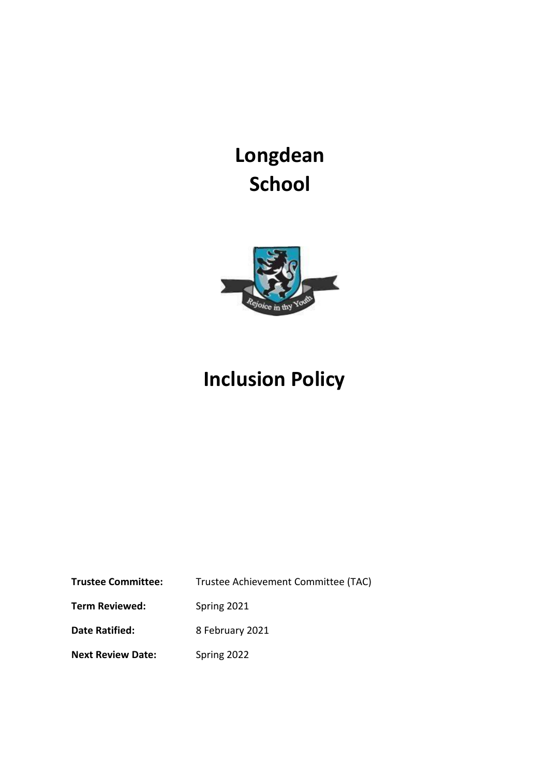**Longdean School**



# **Inclusion Policy**

| <b>Trustee Committee:</b> | Trustee Achievement Committee (TAC) |
|---------------------------|-------------------------------------|
| <b>Term Reviewed:</b>     | Spring 2021                         |
| Date Ratified:            | 8 February 2021                     |
| <b>Next Review Date:</b>  | Spring 2022                         |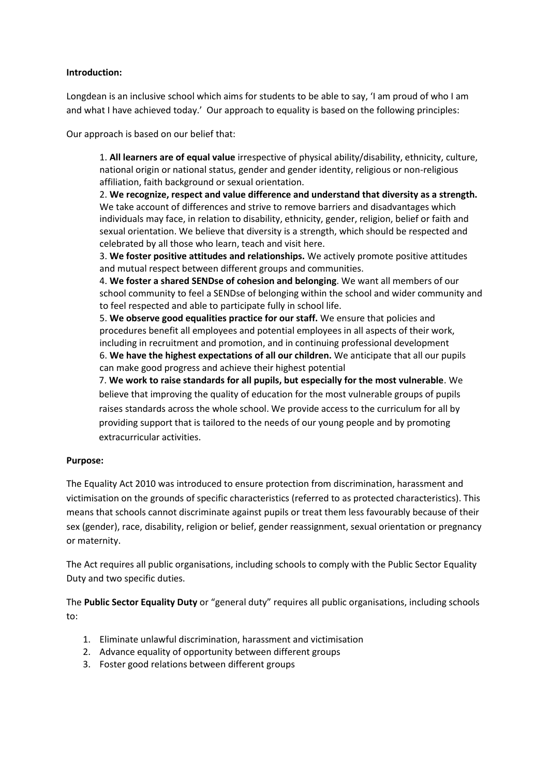#### **Introduction:**

Longdean is an inclusive school which aims for students to be able to say, 'I am proud of who I am and what I have achieved today.' Our approach to equality is based on the following principles:

Our approach is based on our belief that:

1. **All learners are of equal value** irrespective of physical ability/disability, ethnicity, culture, national origin or national status, gender and gender identity, religious or non-religious affiliation, faith background or sexual orientation.

2. **We recognize, respect and value difference and understand that diversity as a strength.** We take account of differences and strive to remove barriers and disadvantages which individuals may face, in relation to disability, ethnicity, gender, religion, belief or faith and sexual orientation. We believe that diversity is a strength, which should be respected and celebrated by all those who learn, teach and visit here.

3. **We foster positive attitudes and relationships.** We actively promote positive attitudes and mutual respect between different groups and communities.

4. **We foster a shared SENDse of cohesion and belonging**. We want all members of our school community to feel a SENDse of belonging within the school and wider community and to feel respected and able to participate fully in school life.

5. **We observe good equalities practice for our staff.** We ensure that policies and procedures benefit all employees and potential employees in all aspects of their work, including in recruitment and promotion, and in continuing professional development 6. **We have the highest expectations of all our children.** We anticipate that all our pupils can make good progress and achieve their highest potential

7. **We work to raise standards for all pupils, but especially for the most vulnerable**. We believe that improving the quality of education for the most vulnerable groups of pupils raises standards across the whole school. We provide access to the curriculum for all by providing support that is tailored to the needs of our young people and by promoting extracurricular activities.

# **Purpose:**

The Equality Act 2010 was introduced to ensure protection from discrimination, harassment and victimisation on the grounds of specific characteristics (referred to as protected characteristics). This means that schools cannot discriminate against pupils or treat them less favourably because of their sex (gender), race, disability, religion or belief, gender reassignment, sexual orientation or pregnancy or maternity.

The Act requires all public organisations, including schools to comply with the Public Sector Equality Duty and two specific duties.

The **Public Sector Equality Duty** or "general duty" requires all public organisations, including schools to:

- 1. Eliminate unlawful discrimination, harassment and victimisation
- 2. Advance equality of opportunity between different groups
- 3. Foster good relations between different groups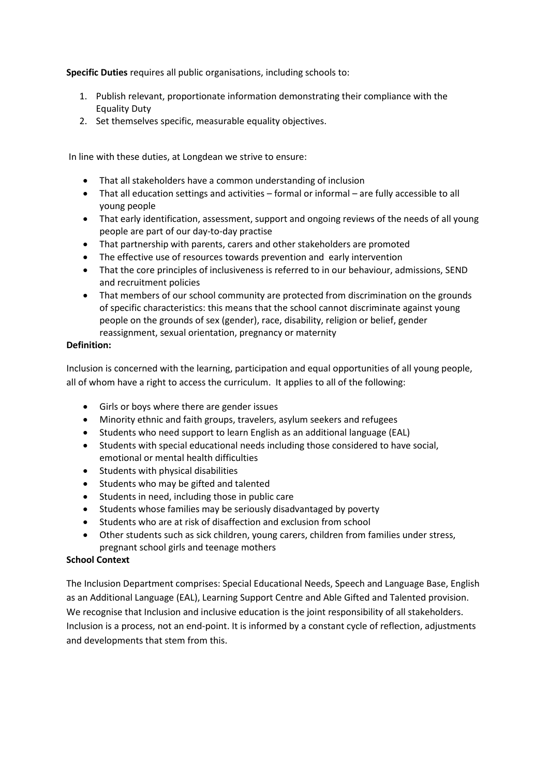**Specific Duties** requires all public organisations, including schools to:

- 1. Publish relevant, proportionate information demonstrating their compliance with the Equality Duty
- 2. Set themselves specific, measurable equality objectives.

In line with these duties, at Longdean we strive to ensure:

- That all stakeholders have a common understanding of inclusion
- That all education settings and activities formal or informal are fully accessible to all young people
- That early identification, assessment, support and ongoing reviews of the needs of all young people are part of our day-to-day practise
- That partnership with parents, carers and other stakeholders are promoted
- The effective use of resources towards prevention and early intervention
- That the core principles of inclusiveness is referred to in our behaviour, admissions, SEND and recruitment policies
- That members of our school community are protected from discrimination on the grounds of specific characteristics: this means that the school cannot discriminate against young people on the grounds of sex (gender), race, disability, religion or belief, gender reassignment, sexual orientation, pregnancy or maternity

#### **Definition:**

Inclusion is concerned with the learning, participation and equal opportunities of all young people, all of whom have a right to access the curriculum. It applies to all of the following:

- Girls or boys where there are gender issues
- Minority ethnic and faith groups, travelers, asylum seekers and refugees
- Students who need support to learn English as an additional language (EAL)
- Students with special educational needs including those considered to have social, emotional or mental health difficulties
- Students with physical disabilities
- Students who may be gifted and talented
- Students in need, including those in public care
- Students whose families may be seriously disadvantaged by poverty
- Students who are at risk of disaffection and exclusion from school
- Other students such as sick children, young carers, children from families under stress, pregnant school girls and teenage mothers

#### **School Context**

The Inclusion Department comprises: Special Educational Needs, Speech and Language Base, English as an Additional Language (EAL), Learning Support Centre and Able Gifted and Talented provision. We recognise that Inclusion and inclusive education is the joint responsibility of all stakeholders. Inclusion is a process, not an end-point. It is informed by a constant cycle of reflection, adjustments and developments that stem from this.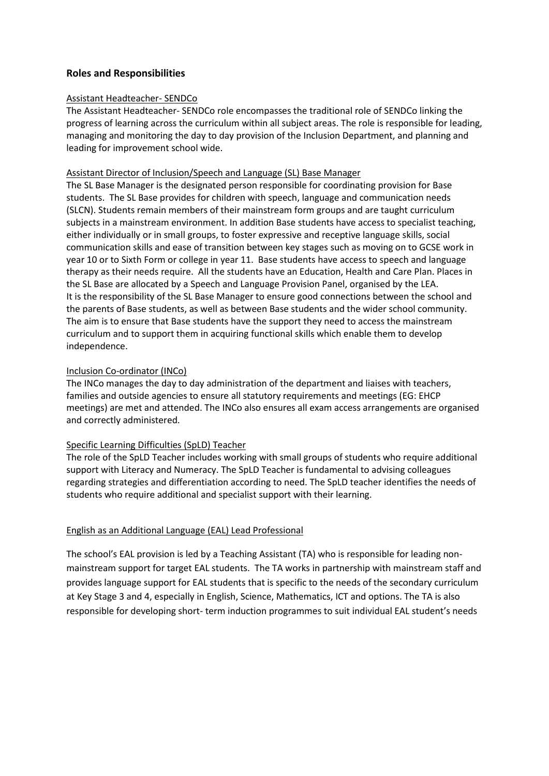# **Roles and Responsibilities**

#### Assistant Headteacher- SENDCo

The Assistant Headteacher- SENDCo role encompasses the traditional role of SENDCo linking the progress of learning across the curriculum within all subject areas. The role is responsible for leading, managing and monitoring the day to day provision of the Inclusion Department, and planning and leading for improvement school wide.

#### Assistant Director of Inclusion/Speech and Language (SL) Base Manager

The SL Base Manager is the designated person responsible for coordinating provision for Base students. The SL Base provides for children with speech, language and communication needs (SLCN). Students remain members of their mainstream form groups and are taught curriculum subjects in a mainstream environment. In addition Base students have access to specialist teaching, either individually or in small groups, to foster expressive and receptive language skills, social communication skills and ease of transition between key stages such as moving on to GCSE work in year 10 or to Sixth Form or college in year 11. Base students have access to speech and language therapy as their needs require. All the students have an Education, Health and Care Plan. Places in the SL Base are allocated by a Speech and Language Provision Panel, organised by the LEA. It is the responsibility of the SL Base Manager to ensure good connections between the school and the parents of Base students, as well as between Base students and the wider school community. The aim is to ensure that Base students have the support they need to access the mainstream curriculum and to support them in acquiring functional skills which enable them to develop independence.

#### Inclusion Co-ordinator (INCo)

The INCo manages the day to day administration of the department and liaises with teachers, families and outside agencies to ensure all statutory requirements and meetings (EG: EHCP meetings) are met and attended. The INCo also ensures all exam access arrangements are organised and correctly administered.

#### Specific Learning Difficulties (SpLD) Teacher

The role of the SpLD Teacher includes working with small groups of students who require additional support with Literacy and Numeracy. The SpLD Teacher is fundamental to advising colleagues regarding strategies and differentiation according to need. The SpLD teacher identifies the needs of students who require additional and specialist support with their learning.

# English as an Additional Language (EAL) Lead Professional

The school's EAL provision is led by a Teaching Assistant (TA) who is responsible for leading nonmainstream support for target EAL students. The TA works in partnership with mainstream staff and provides language support for EAL students that is specific to the needs of the secondary curriculum at Key Stage 3 and 4, especially in English, Science, Mathematics, ICT and options. The TA is also responsible for developing short- term induction programmes to suit individual EAL student's needs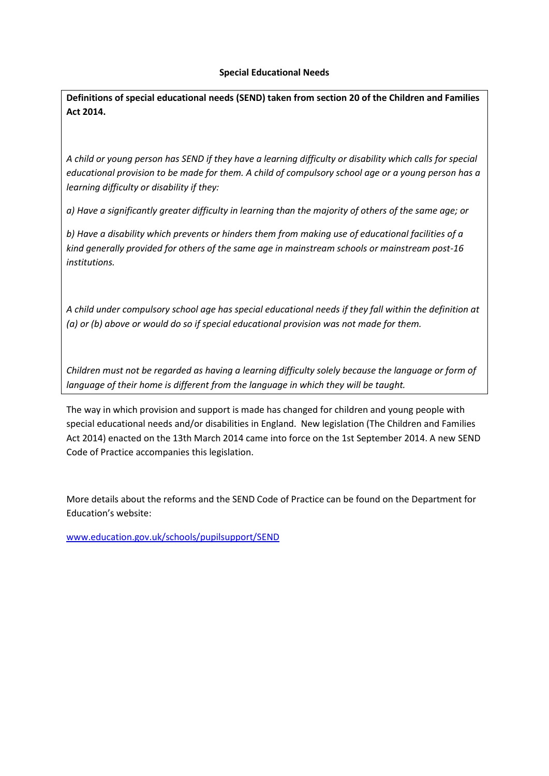#### **Special Educational Needs**

**Definitions of special educational needs (SEND) taken from section 20 of the Children and Families Act 2014.**

*A child or young person has SEND if they have a learning difficulty or disability which calls for special educational provision to be made for them. A child of compulsory school age or a young person has a learning difficulty or disability if they:*

*a) Have a significantly greater difficulty in learning than the majority of others of the same age; or*

*b) Have a disability which prevents or hinders them from making use of educational facilities of a kind generally provided for others of the same age in mainstream schools or mainstream post-16 institutions.*

*A child under compulsory school age has special educational needs if they fall within the definition at (a) or (b) above or would do so if special educational provision was not made for them.*

*Children must not be regarded as having a learning difficulty solely because the language or form of language of their home is different from the language in which they will be taught.*

The way in which provision and support is made has changed for children and young people with special educational needs and/or disabilities in England. New legislation (The Children and Families Act 2014) enacted on the 13th March 2014 came into force on the 1st September 2014. A new SEND Code of Practice accompanies this legislation.

More details about the reforms and the SEND Code of Practice can be found on the Department for Education's website:

[www.education.gov.uk/schools/pupilsupport/SEND](http://www.education.gov.uk/schools/pupilsupport/sen)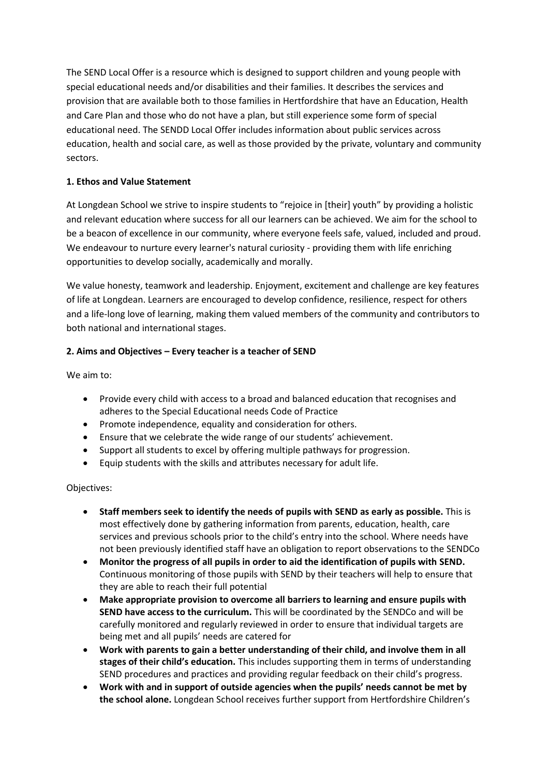The SEND Local Offer is a resource which is designed to support children and young people with special educational needs and/or disabilities and their families. It describes the services and provision that are available both to those families in Hertfordshire that have an Education, Health and Care Plan and those who do not have a plan, but still experience some form of special educational need. The SENDD Local Offer includes information about public services across education, health and social care, as well as those provided by the private, voluntary and community sectors.

# **1. Ethos and Value Statement**

At Longdean School we strive to inspire students to "rejoice in [their] youth" by providing a holistic and relevant education where success for all our learners can be achieved. We aim for the school to be a beacon of excellence in our community, where everyone feels safe, valued, included and proud. We endeavour to nurture every learner's natural curiosity - providing them with life enriching opportunities to develop socially, academically and morally.

We value honesty, teamwork and leadership. Enjoyment, excitement and challenge are key features of life at Longdean. Learners are encouraged to develop confidence, resilience, respect for others and a life-long love of learning, making them valued members of the community and contributors to both national and international stages.

# **2. Aims and Objectives – Every teacher is a teacher of SEND**

We aim to:

- Provide every child with access to a broad and balanced education that recognises and adheres to the Special Educational needs Code of Practice
- Promote independence, equality and consideration for others.
- Ensure that we celebrate the wide range of our students' achievement.
- Support all students to excel by offering multiple pathways for progression.
- Equip students with the skills and attributes necessary for adult life.

# Objectives:

- **Staff members seek to identify the needs of pupils with SEND as early as possible.** This is most effectively done by gathering information from parents, education, health, care services and previous schools prior to the child's entry into the school. Where needs have not been previously identified staff have an obligation to report observations to the SENDCo
- **Monitor the progress of all pupils in order to aid the identification of pupils with SEND.** Continuous monitoring of those pupils with SEND by their teachers will help to ensure that they are able to reach their full potential
- **Make appropriate provision to overcome all barriers to learning and ensure pupils with SEND have access to the curriculum.** This will be coordinated by the SENDCo and will be carefully monitored and regularly reviewed in order to ensure that individual targets are being met and all pupils' needs are catered for
- **Work with parents to gain a better understanding of their child, and involve them in all stages of their child's education.** This includes supporting them in terms of understanding SEND procedures and practices and providing regular feedback on their child's progress.
- **Work with and in support of outside agencies when the pupils' needs cannot be met by the school alone.** Longdean School receives further support from Hertfordshire Children's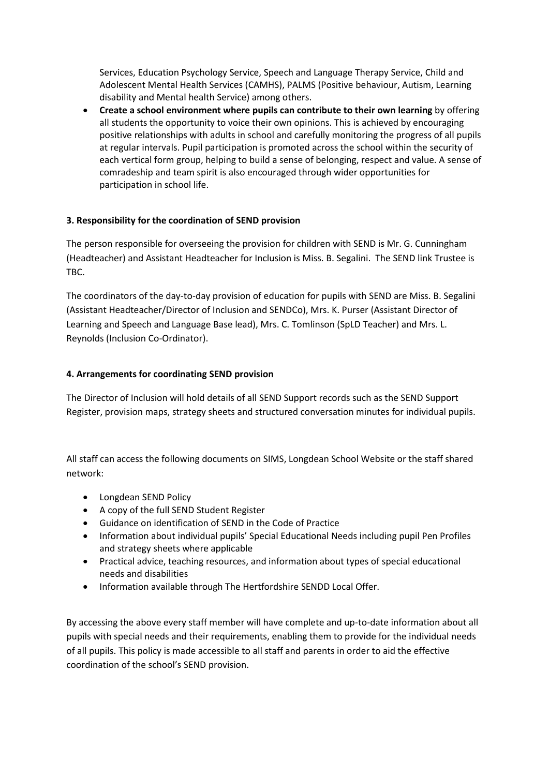Services, Education Psychology Service, Speech and Language Therapy Service, Child and Adolescent Mental Health Services (CAMHS), PALMS (Positive behaviour, Autism, Learning disability and Mental health Service) among others.

• **Create a school environment where pupils can contribute to their own learning** by offering all students the opportunity to voice their own opinions. This is achieved by encouraging positive relationships with adults in school and carefully monitoring the progress of all pupils at regular intervals. Pupil participation is promoted across the school within the security of each vertical form group, helping to build a sense of belonging, respect and value. A sense of comradeship and team spirit is also encouraged through wider opportunities for participation in school life.

# **3. Responsibility for the coordination of SEND provision**

The person responsible for overseeing the provision for children with SEND is Mr. G. Cunningham (Headteacher) and Assistant Headteacher for Inclusion is Miss. B. Segalini. The SEND link Trustee is TBC.

The coordinators of the day-to-day provision of education for pupils with SEND are Miss. B. Segalini (Assistant Headteacher/Director of Inclusion and SENDCo), Mrs. K. Purser (Assistant Director of Learning and Speech and Language Base lead), Mrs. C. Tomlinson (SpLD Teacher) and Mrs. L. Reynolds (Inclusion Co-Ordinator).

# **4. Arrangements for coordinating SEND provision**

The Director of Inclusion will hold details of all SEND Support records such as the SEND Support Register, provision maps, strategy sheets and structured conversation minutes for individual pupils.

All staff can access the following documents on SIMS, Longdean School Website or the staff shared network:

- Longdean SEND Policy
- A copy of the full SEND Student Register
- Guidance on identification of SEND in the Code of Practice
- Information about individual pupils' Special Educational Needs including pupil Pen Profiles and strategy sheets where applicable
- Practical advice, teaching resources, and information about types of special educational needs and disabilities
- Information available through The Hertfordshire SENDD Local Offer.

By accessing the above every staff member will have complete and up-to-date information about all pupils with special needs and their requirements, enabling them to provide for the individual needs of all pupils. This policy is made accessible to all staff and parents in order to aid the effective coordination of the school's SEND provision.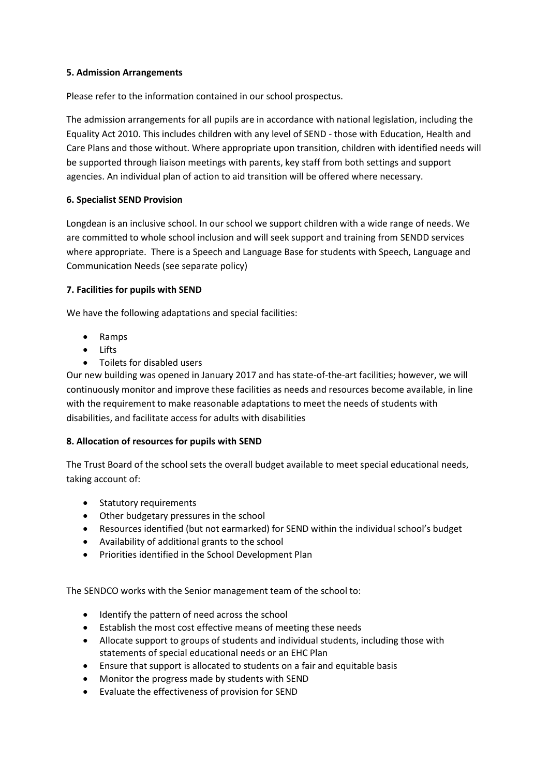#### **5. Admission Arrangements**

Please refer to the information contained in our school prospectus.

The admission arrangements for all pupils are in accordance with national legislation, including the Equality Act 2010. This includes children with any level of SEND - those with Education, Health and Care Plans and those without. Where appropriate upon transition, children with identified needs will be supported through liaison meetings with parents, key staff from both settings and support agencies. An individual plan of action to aid transition will be offered where necessary.

# **6. Specialist SEND Provision**

Longdean is an inclusive school. In our school we support children with a wide range of needs. We are committed to whole school inclusion and will seek support and training from SENDD services where appropriate. There is a Speech and Language Base for students with Speech, Language and Communication Needs (see separate policy)

#### **7. Facilities for pupils with SEND**

We have the following adaptations and special facilities:

- Ramps
- Lifts
- Toilets for disabled users

Our new building was opened in January 2017 and has state-of-the-art facilities; however, we will continuously monitor and improve these facilities as needs and resources become available, in line with the requirement to make reasonable adaptations to meet the needs of students with disabilities, and facilitate access for adults with disabilities

# **8. Allocation of resources for pupils with SEND**

The Trust Board of the school sets the overall budget available to meet special educational needs, taking account of:

- Statutory requirements
- Other budgetary pressures in the school
- Resources identified (but not earmarked) for SEND within the individual school's budget
- Availability of additional grants to the school
- Priorities identified in the School Development Plan

The SENDCO works with the Senior management team of the school to:

- Identify the pattern of need across the school
- Establish the most cost effective means of meeting these needs
- Allocate support to groups of students and individual students, including those with statements of special educational needs or an EHC Plan
- Ensure that support is allocated to students on a fair and equitable basis
- Monitor the progress made by students with SEND
- Evaluate the effectiveness of provision for SEND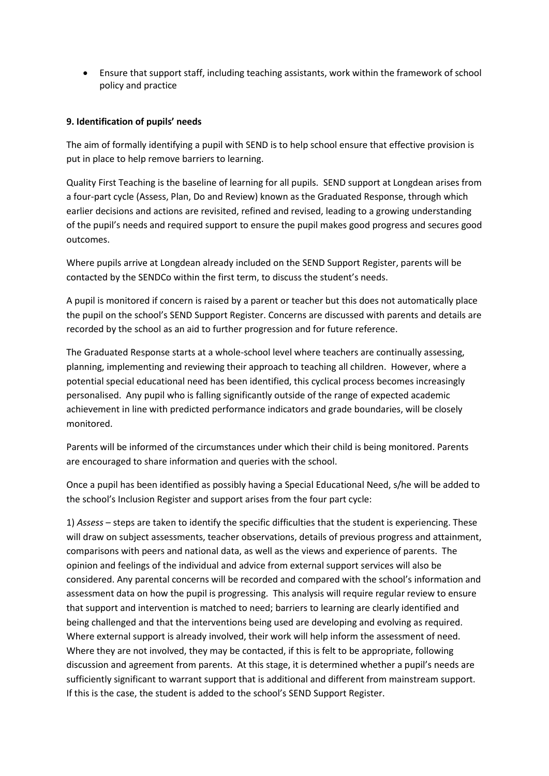• Ensure that support staff, including teaching assistants, work within the framework of school policy and practice

## **9. Identification of pupils' needs**

The aim of formally identifying a pupil with SEND is to help school ensure that effective provision is put in place to help remove barriers to learning.

Quality First Teaching is the baseline of learning for all pupils. SEND support at Longdean arises from a four-part cycle (Assess, Plan, Do and Review) known as the Graduated Response, through which earlier decisions and actions are revisited, refined and revised, leading to a growing understanding of the pupil's needs and required support to ensure the pupil makes good progress and secures good outcomes.

Where pupils arrive at Longdean already included on the SEND Support Register, parents will be contacted by the SENDCo within the first term, to discuss the student's needs.

A pupil is monitored if concern is raised by a parent or teacher but this does not automatically place the pupil on the school's SEND Support Register. Concerns are discussed with parents and details are recorded by the school as an aid to further progression and for future reference.

The Graduated Response starts at a whole-school level where teachers are continually assessing, planning, implementing and reviewing their approach to teaching all children. However, where a potential special educational need has been identified, this cyclical process becomes increasingly personalised. Any pupil who is falling significantly outside of the range of expected academic achievement in line with predicted performance indicators and grade boundaries, will be closely monitored.

Parents will be informed of the circumstances under which their child is being monitored. Parents are encouraged to share information and queries with the school.

Once a pupil has been identified as possibly having a Special Educational Need, s/he will be added to the school's Inclusion Register and support arises from the four part cycle:

1) *Assess* – steps are taken to identify the specific difficulties that the student is experiencing. These will draw on subject assessments, teacher observations, details of previous progress and attainment, comparisons with peers and national data, as well as the views and experience of parents. The opinion and feelings of the individual and advice from external support services will also be considered. Any parental concerns will be recorded and compared with the school's information and assessment data on how the pupil is progressing. This analysis will require regular review to ensure that support and intervention is matched to need; barriers to learning are clearly identified and being challenged and that the interventions being used are developing and evolving as required. Where external support is already involved, their work will help inform the assessment of need. Where they are not involved, they may be contacted, if this is felt to be appropriate, following discussion and agreement from parents. At this stage, it is determined whether a pupil's needs are sufficiently significant to warrant support that is additional and different from mainstream support. If this is the case, the student is added to the school's SEND Support Register.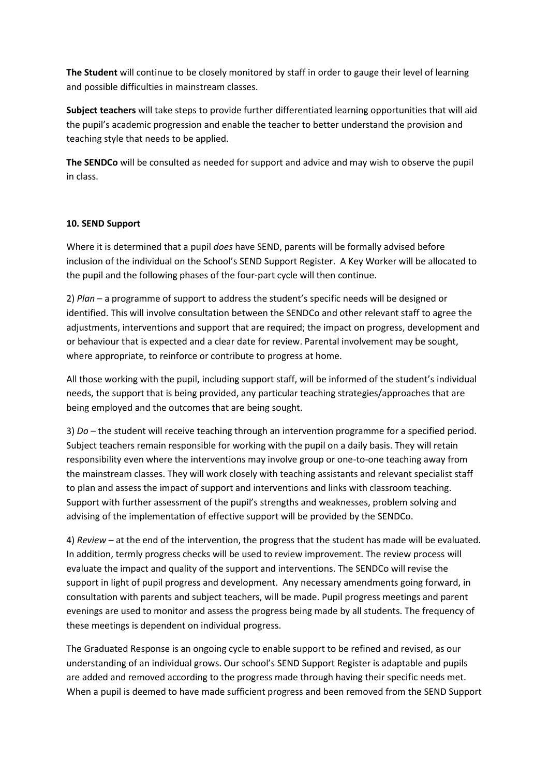**The Student** will continue to be closely monitored by staff in order to gauge their level of learning and possible difficulties in mainstream classes.

**Subject teachers** will take steps to provide further differentiated learning opportunities that will aid the pupil's academic progression and enable the teacher to better understand the provision and teaching style that needs to be applied.

**The SENDCo** will be consulted as needed for support and advice and may wish to observe the pupil in class.

#### **10. SEND Support**

Where it is determined that a pupil *does* have SEND, parents will be formally advised before inclusion of the individual on the School's SEND Support Register. A Key Worker will be allocated to the pupil and the following phases of the four-part cycle will then continue.

2) *Plan* – a programme of support to address the student's specific needs will be designed or identified. This will involve consultation between the SENDCo and other relevant staff to agree the adjustments, interventions and support that are required; the impact on progress, development and or behaviour that is expected and a clear date for review. Parental involvement may be sought, where appropriate, to reinforce or contribute to progress at home.

All those working with the pupil, including support staff, will be informed of the student's individual needs, the support that is being provided, any particular teaching strategies/approaches that are being employed and the outcomes that are being sought.

3) *Do* – the student will receive teaching through an intervention programme for a specified period. Subject teachers remain responsible for working with the pupil on a daily basis. They will retain responsibility even where the interventions may involve group or one-to-one teaching away from the mainstream classes. They will work closely with teaching assistants and relevant specialist staff to plan and assess the impact of support and interventions and links with classroom teaching. Support with further assessment of the pupil's strengths and weaknesses, problem solving and advising of the implementation of effective support will be provided by the SENDCo.

4) *Review* – at the end of the intervention, the progress that the student has made will be evaluated. In addition, termly progress checks will be used to review improvement. The review process will evaluate the impact and quality of the support and interventions. The SENDCo will revise the support in light of pupil progress and development. Any necessary amendments going forward, in consultation with parents and subject teachers, will be made. Pupil progress meetings and parent evenings are used to monitor and assess the progress being made by all students. The frequency of these meetings is dependent on individual progress.

The Graduated Response is an ongoing cycle to enable support to be refined and revised, as our understanding of an individual grows. Our school's SEND Support Register is adaptable and pupils are added and removed according to the progress made through having their specific needs met. When a pupil is deemed to have made sufficient progress and been removed from the SEND Support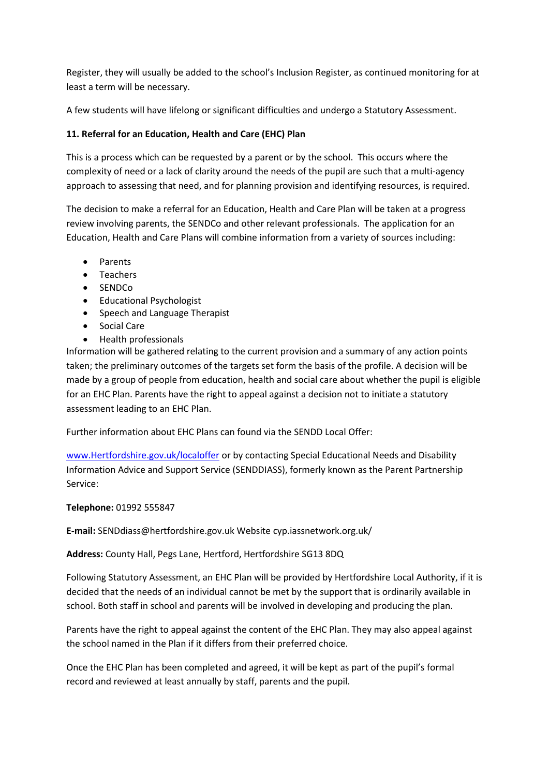Register, they will usually be added to the school's Inclusion Register, as continued monitoring for at least a term will be necessary.

A few students will have lifelong or significant difficulties and undergo a Statutory Assessment.

# **11. Referral for an Education, Health and Care (EHC) Plan**

This is a process which can be requested by a parent or by the school. This occurs where the complexity of need or a lack of clarity around the needs of the pupil are such that a multi-agency approach to assessing that need, and for planning provision and identifying resources, is required.

The decision to make a referral for an Education, Health and Care Plan will be taken at a progress review involving parents, the SENDCo and other relevant professionals. The application for an Education, Health and Care Plans will combine information from a variety of sources including:

- Parents
- Teachers
- SENDCo
- Educational Psychologist
- Speech and Language Therapist
- Social Care
- Health professionals

Information will be gathered relating to the current provision and a summary of any action points taken; the preliminary outcomes of the targets set form the basis of the profile. A decision will be made by a group of people from education, health and social care about whether the pupil is eligible for an EHC Plan. Parents have the right to appeal against a decision not to initiate a statutory assessment leading to an EHC Plan.

Further information about EHC Plans can found via the SENDD Local Offer:

[www.Hertfordshire.gov.uk/localoffer](http://www.hertfordshire.gov.uk/localoffer) or by contacting Special Educational Needs and Disability Information Advice and Support Service (SENDDIASS), formerly known as the Parent Partnership Service:

# **Telephone:** 01992 555847

**E-mail:** SENDdiass@hertfordshire.gov.uk Website cyp.iassnetwork.org.uk/

**Address:** County Hall, Pegs Lane, Hertford, Hertfordshire SG13 8DQ

Following Statutory Assessment, an EHC Plan will be provided by Hertfordshire Local Authority, if it is decided that the needs of an individual cannot be met by the support that is ordinarily available in school. Both staff in school and parents will be involved in developing and producing the plan.

Parents have the right to appeal against the content of the EHC Plan. They may also appeal against the school named in the Plan if it differs from their preferred choice.

Once the EHC Plan has been completed and agreed, it will be kept as part of the pupil's formal record and reviewed at least annually by staff, parents and the pupil.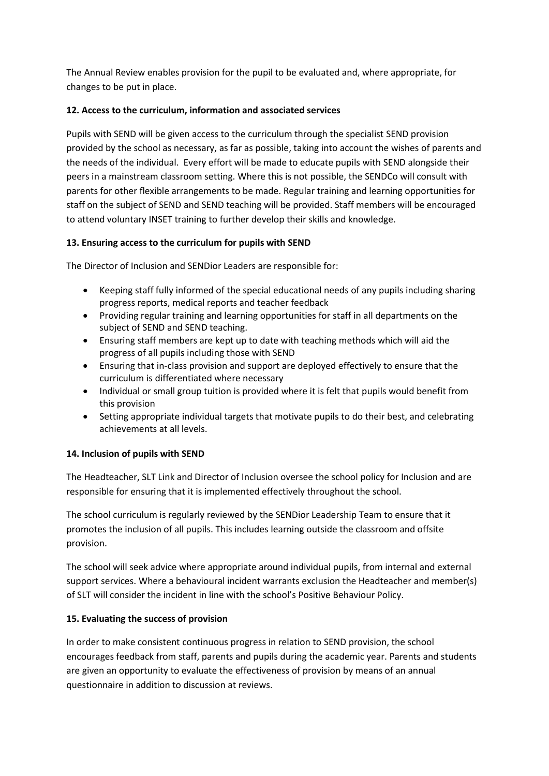The Annual Review enables provision for the pupil to be evaluated and, where appropriate, for changes to be put in place.

# **12. Access to the curriculum, information and associated services**

Pupils with SEND will be given access to the curriculum through the specialist SEND provision provided by the school as necessary, as far as possible, taking into account the wishes of parents and the needs of the individual. Every effort will be made to educate pupils with SEND alongside their peers in a mainstream classroom setting. Where this is not possible, the SENDCo will consult with parents for other flexible arrangements to be made. Regular training and learning opportunities for staff on the subject of SEND and SEND teaching will be provided. Staff members will be encouraged to attend voluntary INSET training to further develop their skills and knowledge.

# **13. Ensuring access to the curriculum for pupils with SEND**

The Director of Inclusion and SENDior Leaders are responsible for:

- Keeping staff fully informed of the special educational needs of any pupils including sharing progress reports, medical reports and teacher feedback
- Providing regular training and learning opportunities for staff in all departments on the subject of SEND and SEND teaching.
- Ensuring staff members are kept up to date with teaching methods which will aid the progress of all pupils including those with SEND
- Ensuring that in-class provision and support are deployed effectively to ensure that the curriculum is differentiated where necessary
- Individual or small group tuition is provided where it is felt that pupils would benefit from this provision
- Setting appropriate individual targets that motivate pupils to do their best, and celebrating achievements at all levels.

# **14. Inclusion of pupils with SEND**

The Headteacher, SLT Link and Director of Inclusion oversee the school policy for Inclusion and are responsible for ensuring that it is implemented effectively throughout the school.

The school curriculum is regularly reviewed by the SENDior Leadership Team to ensure that it promotes the inclusion of all pupils. This includes learning outside the classroom and offsite provision.

The school will seek advice where appropriate around individual pupils, from internal and external support services. Where a behavioural incident warrants exclusion the Headteacher and member(s) of SLT will consider the incident in line with the school's Positive Behaviour Policy.

# **15. Evaluating the success of provision**

In order to make consistent continuous progress in relation to SEND provision, the school encourages feedback from staff, parents and pupils during the academic year. Parents and students are given an opportunity to evaluate the effectiveness of provision by means of an annual questionnaire in addition to discussion at reviews.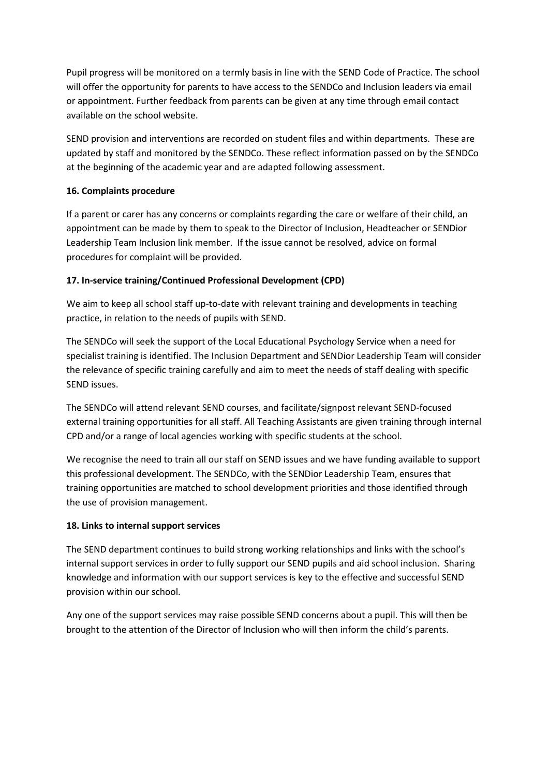Pupil progress will be monitored on a termly basis in line with the SEND Code of Practice. The school will offer the opportunity for parents to have access to the SENDCo and Inclusion leaders via email or appointment. Further feedback from parents can be given at any time through email contact available on the school website.

SEND provision and interventions are recorded on student files and within departments. These are updated by staff and monitored by the SENDCo. These reflect information passed on by the SENDCo at the beginning of the academic year and are adapted following assessment.

# **16. Complaints procedure**

If a parent or carer has any concerns or complaints regarding the care or welfare of their child, an appointment can be made by them to speak to the Director of Inclusion, Headteacher or SENDior Leadership Team Inclusion link member. If the issue cannot be resolved, advice on formal procedures for complaint will be provided.

#### **17. In-service training/Continued Professional Development (CPD)**

We aim to keep all school staff up-to-date with relevant training and developments in teaching practice, in relation to the needs of pupils with SEND.

The SENDCo will seek the support of the Local Educational Psychology Service when a need for specialist training is identified. The Inclusion Department and SENDior Leadership Team will consider the relevance of specific training carefully and aim to meet the needs of staff dealing with specific SEND issues.

The SENDCo will attend relevant SEND courses, and facilitate/signpost relevant SEND-focused external training opportunities for all staff. All Teaching Assistants are given training through internal CPD and/or a range of local agencies working with specific students at the school.

We recognise the need to train all our staff on SEND issues and we have funding available to support this professional development. The SENDCo, with the SENDior Leadership Team, ensures that training opportunities are matched to school development priorities and those identified through the use of provision management.

#### **18. Links to internal support services**

The SEND department continues to build strong working relationships and links with the school's internal support services in order to fully support our SEND pupils and aid school inclusion. Sharing knowledge and information with our support services is key to the effective and successful SEND provision within our school.

Any one of the support services may raise possible SEND concerns about a pupil. This will then be brought to the attention of the Director of Inclusion who will then inform the child's parents.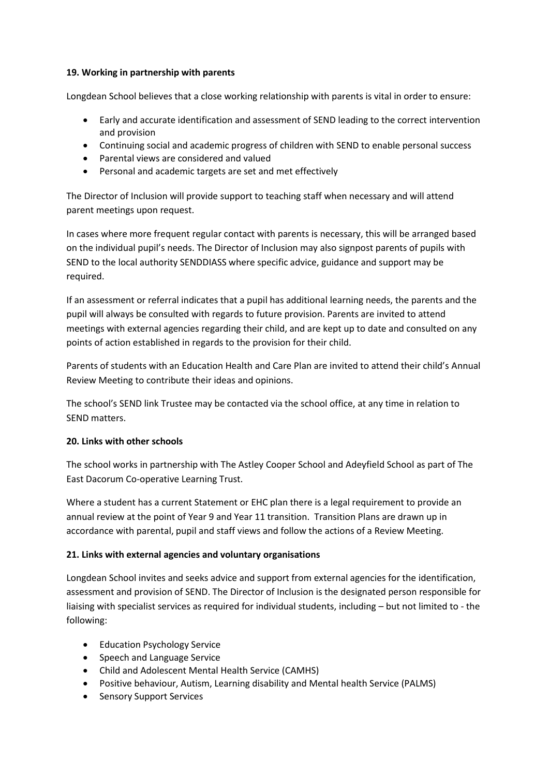#### **19. Working in partnership with parents**

Longdean School believes that a close working relationship with parents is vital in order to ensure:

- Early and accurate identification and assessment of SEND leading to the correct intervention and provision
- Continuing social and academic progress of children with SEND to enable personal success
- Parental views are considered and valued
- Personal and academic targets are set and met effectively

The Director of Inclusion will provide support to teaching staff when necessary and will attend parent meetings upon request.

In cases where more frequent regular contact with parents is necessary, this will be arranged based on the individual pupil's needs. The Director of Inclusion may also signpost parents of pupils with SEND to the local authority SENDDIASS where specific advice, guidance and support may be required.

If an assessment or referral indicates that a pupil has additional learning needs, the parents and the pupil will always be consulted with regards to future provision. Parents are invited to attend meetings with external agencies regarding their child, and are kept up to date and consulted on any points of action established in regards to the provision for their child.

Parents of students with an Education Health and Care Plan are invited to attend their child's Annual Review Meeting to contribute their ideas and opinions.

The school's SEND link Trustee may be contacted via the school office, at any time in relation to SEND matters.

# **20. Links with other schools**

The school works in partnership with The Astley Cooper School and Adeyfield School as part of The East Dacorum Co-operative Learning Trust.

Where a student has a current Statement or EHC plan there is a legal requirement to provide an annual review at the point of Year 9 and Year 11 transition. Transition Plans are drawn up in accordance with parental, pupil and staff views and follow the actions of a Review Meeting.

# **21. Links with external agencies and voluntary organisations**

Longdean School invites and seeks advice and support from external agencies for the identification, assessment and provision of SEND. The Director of Inclusion is the designated person responsible for liaising with specialist services as required for individual students, including – but not limited to - the following:

- Education Psychology Service
- Speech and Language Service
- Child and Adolescent Mental Health Service (CAMHS)
- Positive behaviour, Autism, Learning disability and Mental health Service (PALMS)
- Sensory Support Services